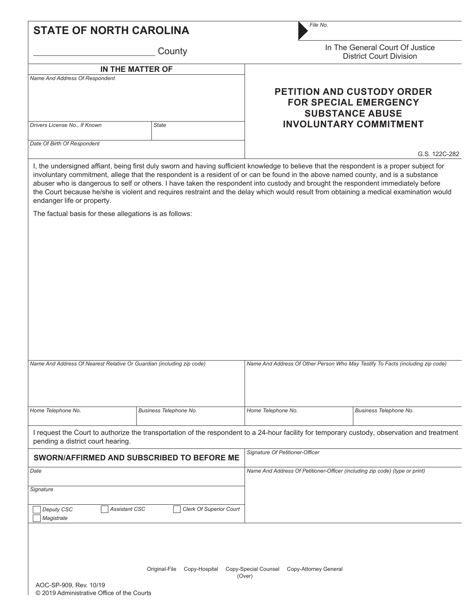|                                                                                      | County                                          | In The General Court Of Justice<br><b>District Court Division</b>                                                                                                                                                                                                           |                        |  |  |
|--------------------------------------------------------------------------------------|-------------------------------------------------|-----------------------------------------------------------------------------------------------------------------------------------------------------------------------------------------------------------------------------------------------------------------------------|------------------------|--|--|
| IN THE MATTER OF<br>Name And Address Of Respondent                                   |                                                 |                                                                                                                                                                                                                                                                             |                        |  |  |
|                                                                                      |                                                 | PETITION AND CUSTODY ORDER<br><b>FOR SPECIAL EMERGENCY</b><br><b>SUBSTANCE ABUSE</b>                                                                                                                                                                                        |                        |  |  |
| Drivers License No., If Known                                                        | <b>State</b>                                    | <b>INVOLUNTARY COMMITMENT</b>                                                                                                                                                                                                                                               |                        |  |  |
| Date Of Birth Of Respondent                                                          |                                                 |                                                                                                                                                                                                                                                                             | G.S. 122C-282          |  |  |
| endanger life or property.<br>The factual basis for these allegations is as follows: |                                                 | abuser who is dangerous to self or others. I have taken the respondent into custody and brought the respondent immediately before<br>the Court because he/she is violent and requires restraint and the delay which would result from obtaining a medical examination would |                        |  |  |
|                                                                                      |                                                 |                                                                                                                                                                                                                                                                             |                        |  |  |
|                                                                                      |                                                 |                                                                                                                                                                                                                                                                             |                        |  |  |
| Name And Address Of Nearest Relative Or Guardian (including zip code)                |                                                 | Name And Address Of Other Person Who May Testify To Facts (including zip code)                                                                                                                                                                                              |                        |  |  |
|                                                                                      | Business Telephone No.                          | Home Telephone No.                                                                                                                                                                                                                                                          | Business Telephone No. |  |  |
|                                                                                      |                                                 | I request the Court to authorize the transportation of the respondent to a 24-hour facility for temporary custody, observation and treatment                                                                                                                                |                        |  |  |
|                                                                                      | SWORN/AFFIRMED AND SUBSCRIBED TO BEFORE ME      | Signature Of Petitioner-Officer                                                                                                                                                                                                                                             |                        |  |  |
|                                                                                      |                                                 | Name And Address Of Petitioner-Officer (including zip code) (type or print)                                                                                                                                                                                                 |                        |  |  |
|                                                                                      |                                                 |                                                                                                                                                                                                                                                                             |                        |  |  |
| Deputy CSC<br>Magistrate                                                             | Assistant CSC<br><b>Clerk Of Superior Court</b> |                                                                                                                                                                                                                                                                             |                        |  |  |
| Home Telephone No.<br>pending a district court hearing.<br>Date<br>Signature         |                                                 |                                                                                                                                                                                                                                                                             |                        |  |  |

(Over)